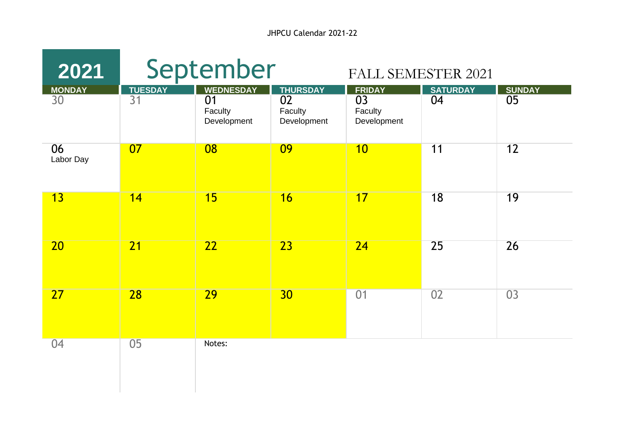JHPCU Calendar 2021-22

| 2021                |                      | September                                        |                                                 | <b>FALL SEMESTER 2021</b>                     |                       |                     |
|---------------------|----------------------|--------------------------------------------------|-------------------------------------------------|-----------------------------------------------|-----------------------|---------------------|
| <b>MONDAY</b><br>30 | <b>TUESDAY</b><br>31 | <b>WEDNESDAY</b><br>01<br>Faculty<br>Development | <b>THURSDAY</b><br>02<br>Faculty<br>Development | <b>FRIDAY</b><br>03<br>Faculty<br>Development | <b>SATURDAY</b><br>04 | <b>SUNDAY</b><br>05 |
| 06<br>Labor Day     | 07                   | 08                                               | 09                                              | 10                                            | 11                    | 12                  |
| 13                  | 14                   | 15                                               | 16                                              | 17                                            | 18                    | 19                  |
| 20                  | $\overline{21}$      | $\overline{22}$                                  | $\overline{23}$                                 | $\overline{24}$                               | 25                    | 26                  |
| 27                  | 28                   | 29                                               | 30                                              | 01                                            | 02                    | 03                  |
| 04                  | 05                   | Notes:                                           |                                                 |                                               |                       |                     |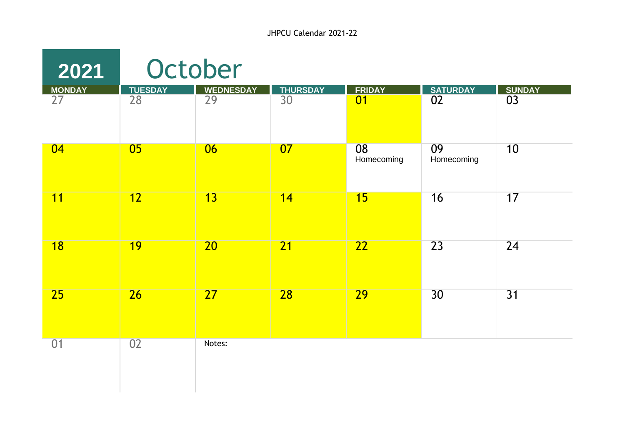| 2021                             | October                           |                                     |                                    |                     |                                    |                                  |  |  |  |
|----------------------------------|-----------------------------------|-------------------------------------|------------------------------------|---------------------|------------------------------------|----------------------------------|--|--|--|
| <b>MONDAY</b><br>$\overline{27}$ | <b>TUESDAY</b><br>$\overline{28}$ | <b>WEDNESDAY</b><br>$\overline{29}$ | <b>THURSDAY</b><br>$\overline{30}$ | <b>FRIDAY</b><br>01 | <b>SATURDAY</b><br>$\overline{02}$ | <b>SUNDAY</b><br>$\overline{03}$ |  |  |  |
| 04                               | 0 <sub>5</sub>                    | 06                                  | 07                                 | 08<br>Homecoming    | 09<br>Homecoming                   | 10                               |  |  |  |
| 11                               | 12                                | 13                                  | 14                                 | 15                  | 16                                 | 17                               |  |  |  |
| 18                               | <b>19</b>                         | $\overline{20}$                     | $\overline{21}$                    | $\overline{22}$     | 23                                 | 24                               |  |  |  |
| 25                               | $\overline{26}$                   | $\overline{27}$                     | 28                                 | 29                  | 30                                 | 31                               |  |  |  |
| 01                               | 02                                | Notes:                              |                                    |                     |                                    |                                  |  |  |  |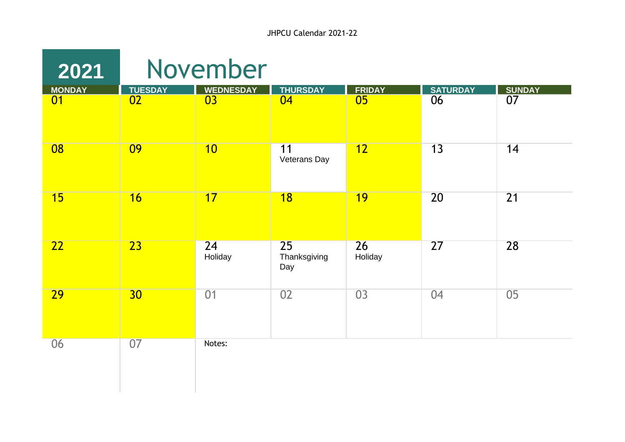| 2021          |                 | November         |                           |                 |                 |                 |
|---------------|-----------------|------------------|---------------------------|-----------------|-----------------|-----------------|
| <b>MONDAY</b> | <b>TUESDAY</b>  | <b>WEDNESDAY</b> | <b>THURSDAY</b>           | <b>FRIDAY</b>   | <b>SATURDAY</b> | <b>SUNDAY</b>   |
| 01            | $\overline{02}$ | 03               | 04                        | $\overline{05}$ | 06              | $\overline{07}$ |
| 08            | 09              | 10               | 11<br>Veterans Day        | 12              | 13              | 14              |
| 15            | 16              | 17               | $\overline{18}$           | 19              | 20              | 21              |
| 22            | $\overline{23}$ | 24<br>Holiday    | 25<br>Thanksgiving<br>Day | 26<br>Holiday   | $\overline{27}$ | 28              |
| <b>29</b>     | 30 <sub>2</sub> | 01               | 02                        | 03              | 04              | 05              |
| 06            | 07              | Notes:           |                           |                 |                 |                 |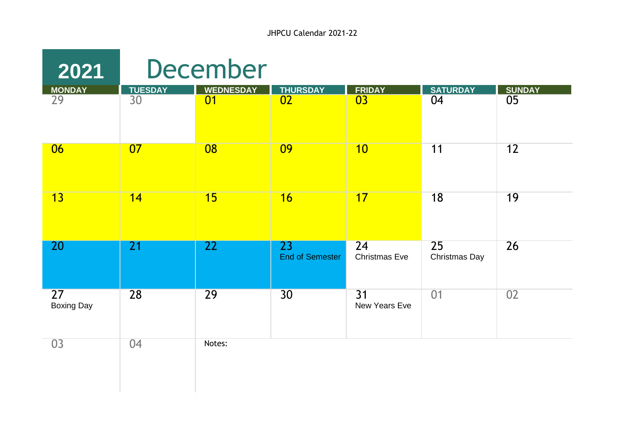| 2021                                 |                      | <b>December</b>        |                              |                                  |                       |                     |
|--------------------------------------|----------------------|------------------------|------------------------------|----------------------------------|-----------------------|---------------------|
| MONDAY<br>29                         | <b>TUESDAY</b><br>30 | <b>WEDNESDAY</b><br>01 | <b>THURSDAY</b><br>02        | <b>FRIDAY</b><br>$\overline{03}$ | <b>SATURDAY</b><br>04 | <b>SUNDAY</b><br>05 |
| 06                                   | 07                   | 08                     | 09                           | 10                               | 11                    | 12                  |
| 13                                   | 14                   | 15                     | 16                           | 17                               | 18                    | 19                  |
| 20                                   | 21                   | 22                     | 23<br><b>End of Semester</b> | 24<br><b>Christmas Eve</b>       | 25<br>Christmas Day   | 26                  |
| $\overline{27}$<br><b>Boxing Day</b> | $\overline{28}$      | 29                     | 30                           | 31<br>New Years Eve              | 01                    | 02                  |
| 03                                   | 04                   | Notes:                 |                              |                                  |                       |                     |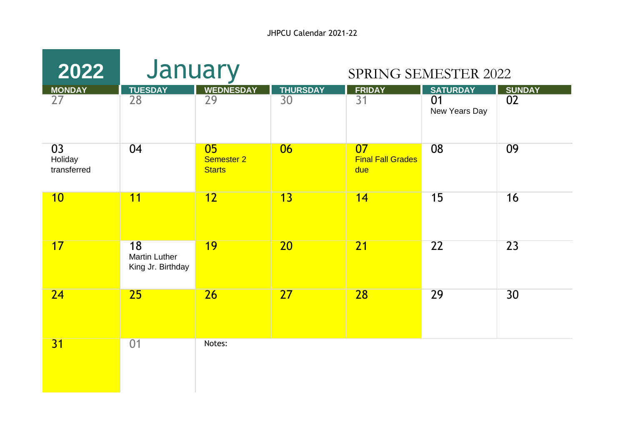JHPCU Calendar 2021-22

| 2022                         | January                                         |                                          |                       | <b>SPRING SEMESTER 2022</b>           |                                        |                     |
|------------------------------|-------------------------------------------------|------------------------------------------|-----------------------|---------------------------------------|----------------------------------------|---------------------|
| MONDAY<br>27                 | <b>TUESDAY</b><br>28                            | <b>WEDNESDAY</b><br>$\overline{29}$      | <b>THURSDAY</b><br>30 | <b>FRIDAY</b><br>$\overline{31}$      | <b>SATURDAY</b><br>01<br>New Years Day | <b>SUNDAY</b><br>02 |
| 03<br>Holiday<br>transferred | 04                                              | 05<br><b>Semester 2</b><br><b>Starts</b> | 06                    | 07<br><b>Final Fall Grades</b><br>due | 08                                     | 09                  |
| 10                           | 11                                              | 12                                       | $\overline{13}$       | 14                                    | 15                                     | 16                  |
| 17                           | 18<br><b>Martin Luther</b><br>King Jr. Birthday | 19                                       | 20                    | $\overline{21}$                       | 22                                     | $\overline{23}$     |
| 24                           | 25                                              | 26                                       | 27                    | 28                                    | 29                                     | 30                  |
| 31                           | 01                                              | Notes:                                   |                       |                                       |                                        |                     |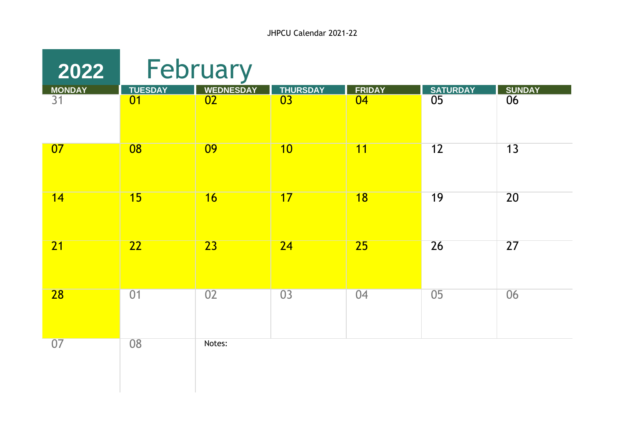| 2022         |                      | February               |                       |                     |                                    |                     |
|--------------|----------------------|------------------------|-----------------------|---------------------|------------------------------------|---------------------|
| MONDAY<br>31 | <b>TUESDAY</b><br>01 | <b>WEDNESDAY</b><br>02 | <b>THURSDAY</b><br>03 | <b>FRIDAY</b><br>04 | <b>SATURDAY</b><br>$\overline{05}$ | <b>SUNDAY</b><br>06 |
| 07           | 08                   | 09                     | 10                    | 11                  | 12                                 | 13                  |
| 14           | 15                   | 16                     | 17                    | $\overline{18}$     | 19                                 | 20                  |
| 21           | $\overline{22}$      | $\overline{23}$        | 24                    | 25                  | 26                                 | $\overline{27}$     |
| 28           | 01                   | 02                     | 03                    | 04                  | 05                                 | 06                  |
| 07           | 08                   | Notes:                 |                       |                     |                                    |                     |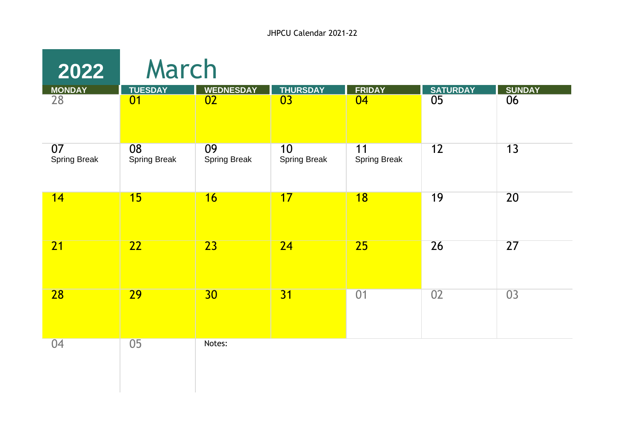| 2022                      | March                     |                           |                           |                           |                |                     |  |
|---------------------------|---------------------------|---------------------------|---------------------------|---------------------------|----------------|---------------------|--|
| MONDAY<br>28              | <b>TUESDAY</b><br>01      | <b>WEDNESDAY</b><br>02    | <b>THURSDAY</b><br>03     | <b>FRIDAY</b><br>04       | SATURDAY<br>05 | <b>SUNDAY</b><br>06 |  |
|                           |                           |                           |                           |                           |                |                     |  |
| 07<br><b>Spring Break</b> | 08<br><b>Spring Break</b> | 09<br><b>Spring Break</b> | 10<br><b>Spring Break</b> | 11<br><b>Spring Break</b> | 12             | 13                  |  |
| 14                        | 15                        | 16                        | 17                        | 18                        | 19             | 20                  |  |
| 21                        | $\overline{22}$           | $\overline{23}$           | $\overline{24}$           | $\overline{25}$           | 26             | 27                  |  |
| $\overline{28}$           | $\overline{29}$           | 30                        | $\overline{31}$           | $\overline{01}$           | 02             | 03                  |  |
| 04                        | 05                        | Notes:                    |                           |                           |                |                     |  |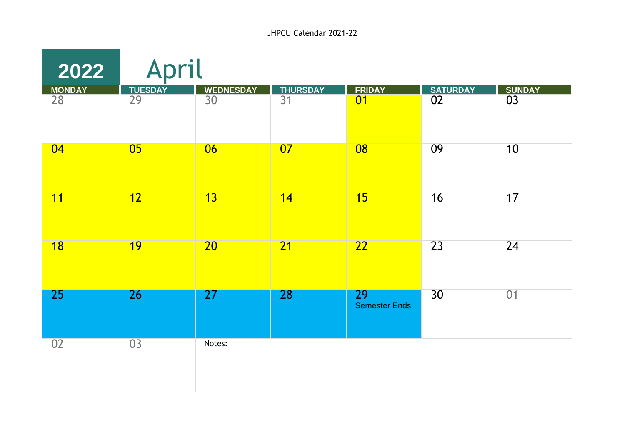| 2022            | April           |                  |                 |                                   |                 |               |  |  |
|-----------------|-----------------|------------------|-----------------|-----------------------------------|-----------------|---------------|--|--|
| <b>MONDAY</b>   | <b>TUESDAY</b>  | <b>WEDNESDAY</b> | <b>THURSDAY</b> | <b>FRIDAY</b>                     | <b>SATURDAY</b> | <b>SUNDAY</b> |  |  |
| 28              | 29              | 30               | 31              | 01                                | 02              | 03            |  |  |
| 04              | 05              | 06               | 07              | 08                                | 09              | 10            |  |  |
| 11              | 12              | 13               | 14              | 15                                | 16              | 17            |  |  |
| $\overline{18}$ | 19              | 20               | 21              | 22                                | 23              | 24            |  |  |
| 25              | $\overline{26}$ | 27               | <b>28</b>       | <b>29</b><br><b>Semester Ends</b> | 30              | 01            |  |  |
| 02              | $\overline{03}$ | Notes:           |                 |                                   |                 |               |  |  |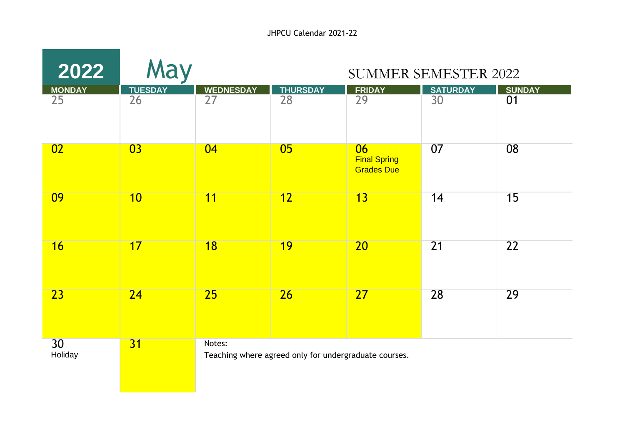| 2022                | May                  |                        |                                                       | <b>SUMMER SEMESTER 2022</b>                    |                       |                     |
|---------------------|----------------------|------------------------|-------------------------------------------------------|------------------------------------------------|-----------------------|---------------------|
| <b>MONDAY</b><br>25 | <b>TUESDAY</b><br>26 | <b>WEDNESDAY</b><br>27 | <b>THURSDAY</b><br>28                                 | <b>FRIDAY</b><br>29                            | <b>SATURDAY</b><br>30 | <b>SUNDAY</b><br>01 |
|                     |                      |                        |                                                       |                                                |                       |                     |
| 02                  | 03                   | 04                     | 0 <sub>5</sub>                                        | 06<br><b>Final Spring</b><br><b>Grades Due</b> | 07                    | 08                  |
| 09                  | 10                   | 11                     | $\overline{12}$                                       | 13                                             | 14                    | 15                  |
| 16                  | 17                   | $\overline{18}$        | 19                                                    | $\overline{20}$                                | $\overline{21}$       | 22                  |
| 23                  | 24                   | 25                     | $\overline{26}$                                       | 27                                             | 28                    | 29                  |
| 30<br>Holiday       | 31                   | Notes:                 | Teaching where agreed only for undergraduate courses. |                                                |                       |                     |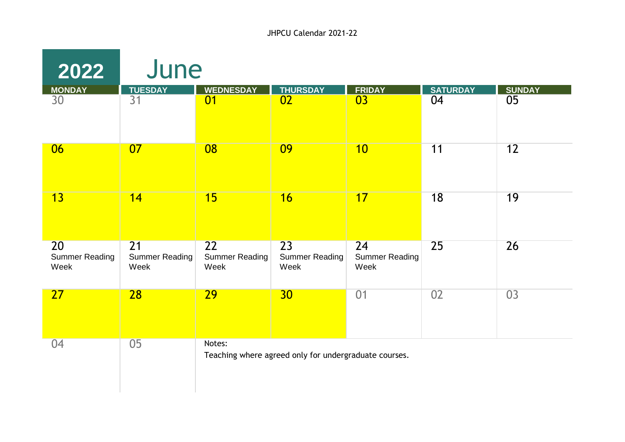| 2022                                | June                                |                                     |                                                       |                                     |                 |               |
|-------------------------------------|-------------------------------------|-------------------------------------|-------------------------------------------------------|-------------------------------------|-----------------|---------------|
| <b>MONDAY</b>                       | <b>TUESDAY</b>                      | <b>WEDNESDAY</b>                    | <b>THURSDAY</b>                                       | <b>FRIDAY</b>                       | <b>SATURDAY</b> | <b>SUNDAY</b> |
| 30                                  | 31                                  | 01                                  | 02                                                    | 03                                  | 04              | 05            |
| 06                                  | 07                                  | 08                                  | 09                                                    | 10                                  | 11              | 12            |
| 13                                  | 14                                  | 15                                  | 16                                                    | 17                                  | 18              | 19            |
| 20<br><b>Summer Reading</b><br>Week | 21<br><b>Summer Reading</b><br>Week | 22<br><b>Summer Reading</b><br>Week | 23<br><b>Summer Reading</b><br>Week                   | 24<br><b>Summer Reading</b><br>Week | 25              | 26            |
| 27                                  | 28                                  | 29                                  | 30                                                    | 01                                  | 02              | 03            |
| 04                                  | 05                                  | Notes:                              | Teaching where agreed only for undergraduate courses. |                                     |                 |               |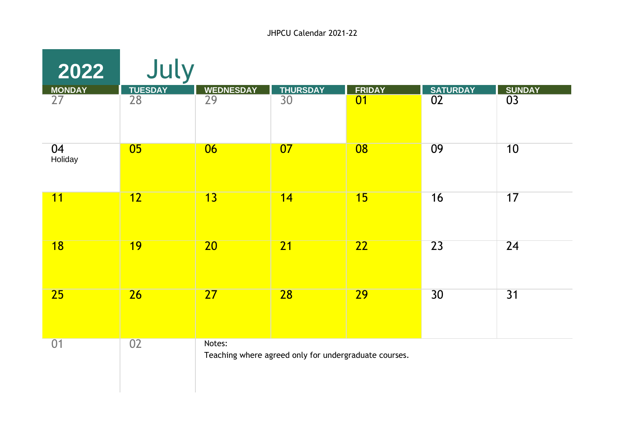| 2022                             | July                              |                                                                 |                       |                     |                       |                     |  |
|----------------------------------|-----------------------------------|-----------------------------------------------------------------|-----------------------|---------------------|-----------------------|---------------------|--|
| <b>MONDAY</b><br>$\overline{27}$ | <b>TUESDAY</b><br>$\overline{28}$ | <b>WEDNESDAY</b><br>$\overline{29}$                             | <b>THURSDAY</b><br>30 | <b>FRIDAY</b><br>01 | <b>SATURDAY</b><br>02 | <b>SUNDAY</b><br>03 |  |
|                                  |                                   |                                                                 |                       |                     |                       |                     |  |
| 04<br>Holiday                    | 0 <sub>5</sub>                    | 06                                                              | 07                    | 08                  | 09                    | 10                  |  |
| 11                               | 12                                | $\overline{13}$                                                 | 14                    | 15                  | 16                    | 17                  |  |
| 18                               | <b>19</b>                         | $\overline{20}$                                                 | 21                    | $\overline{22}$     | $\overline{23}$       | 24                  |  |
| 25                               | 26                                | 27                                                              | 28                    | 29                  | 30                    | 31                  |  |
| 01                               | 02                                | Notes:<br>Teaching where agreed only for undergraduate courses. |                       |                     |                       |                     |  |